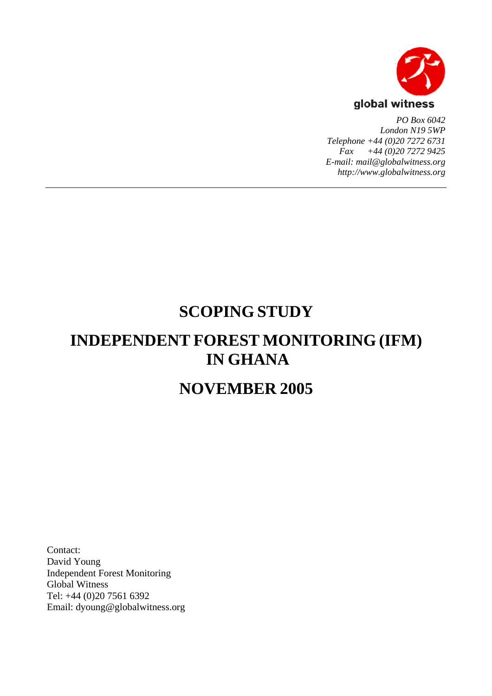

*PO Box 6042 London N19 5WP Telephone +44 (0)20 7272 6731 Fax +44 (0)20 7272 9425 E-mail: mail@globalwitness.org http://www.globalwitness.org*

# **SCOPING STUDY**

# **INDEPENDENT FOREST MONITORING (IFM) IN GHANA**

# **NOVEMBER 2005**

Contact: David Young Independent Forest Monitoring Global Witness Tel: +44 (0)20 7561 6392 Email: dyoung@globalwitness.org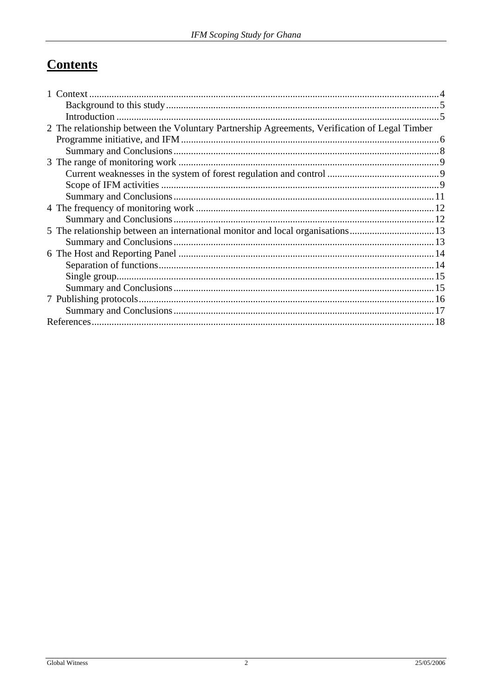# **Contents**

| 2 The relationship between the Voluntary Partnership Agreements, Verification of Legal Timber |  |
|-----------------------------------------------------------------------------------------------|--|
|                                                                                               |  |
|                                                                                               |  |
|                                                                                               |  |
|                                                                                               |  |
|                                                                                               |  |
|                                                                                               |  |
|                                                                                               |  |
|                                                                                               |  |
| 5 The relationship between an international monitor and local organisations13                 |  |
|                                                                                               |  |
|                                                                                               |  |
|                                                                                               |  |
|                                                                                               |  |
|                                                                                               |  |
|                                                                                               |  |
|                                                                                               |  |
|                                                                                               |  |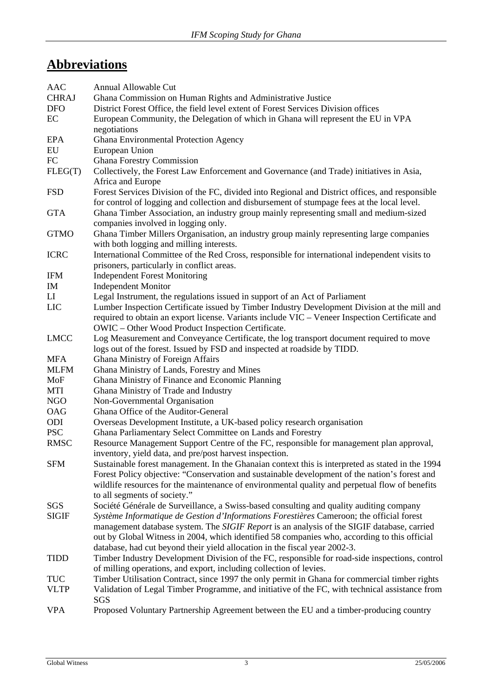# **Abbreviations**

| <b>AAC</b>   | <b>Annual Allowable Cut</b>                                                                                                                                                           |  |  |  |  |
|--------------|---------------------------------------------------------------------------------------------------------------------------------------------------------------------------------------|--|--|--|--|
| <b>CHRAJ</b> | Ghana Commission on Human Rights and Administrative Justice                                                                                                                           |  |  |  |  |
| <b>DFO</b>   | District Forest Office, the field level extent of Forest Services Division offices                                                                                                    |  |  |  |  |
| EC           | European Community, the Delegation of which in Ghana will represent the EU in VPA                                                                                                     |  |  |  |  |
|              | negotiations                                                                                                                                                                          |  |  |  |  |
| <b>EPA</b>   | Ghana Environmental Protection Agency                                                                                                                                                 |  |  |  |  |
| EU           | European Union                                                                                                                                                                        |  |  |  |  |
| ${\rm FC}$   | <b>Ghana Forestry Commission</b>                                                                                                                                                      |  |  |  |  |
| FLEG(T)      | Collectively, the Forest Law Enforcement and Governance (and Trade) initiatives in Asia,<br>Africa and Europe                                                                         |  |  |  |  |
| <b>FSD</b>   | Forest Services Division of the FC, divided into Regional and District offices, and responsible                                                                                       |  |  |  |  |
| <b>GTA</b>   | for control of logging and collection and disbursement of stumpage fees at the local level.<br>Ghana Timber Association, an industry group mainly representing small and medium-sized |  |  |  |  |
|              | companies involved in logging only.                                                                                                                                                   |  |  |  |  |
| <b>GTMO</b>  | Ghana Timber Millers Organisation, an industry group mainly representing large companies                                                                                              |  |  |  |  |
|              | with both logging and milling interests.                                                                                                                                              |  |  |  |  |
| <b>ICRC</b>  | International Committee of the Red Cross, responsible for international independent visits to                                                                                         |  |  |  |  |
| <b>IFM</b>   | prisoners, particularly in conflict areas.                                                                                                                                            |  |  |  |  |
| IM           | <b>Independent Forest Monitoring</b>                                                                                                                                                  |  |  |  |  |
| LI           | <b>Independent Monitor</b><br>Legal Instrument, the regulations issued in support of an Act of Parliament                                                                             |  |  |  |  |
| LIC          | Lumber Inspection Certificate issued by Timber Industry Development Division at the mill and                                                                                          |  |  |  |  |
|              | required to obtain an export license. Variants include VIC – Veneer Inspection Certificate and                                                                                        |  |  |  |  |
|              | OWIC - Other Wood Product Inspection Certificate.                                                                                                                                     |  |  |  |  |
| <b>LMCC</b>  | Log Measurement and Conveyance Certificate, the log transport document required to move                                                                                               |  |  |  |  |
|              | logs out of the forest. Issued by FSD and inspected at roadside by TIDD.                                                                                                              |  |  |  |  |
| <b>MFA</b>   | Ghana Ministry of Foreign Affairs                                                                                                                                                     |  |  |  |  |
| <b>MLFM</b>  | Ghana Ministry of Lands, Forestry and Mines                                                                                                                                           |  |  |  |  |
| MoF          | Ghana Ministry of Finance and Economic Planning                                                                                                                                       |  |  |  |  |
| MTI          | Ghana Ministry of Trade and Industry                                                                                                                                                  |  |  |  |  |
| <b>NGO</b>   | Non-Governmental Organisation                                                                                                                                                         |  |  |  |  |
| <b>OAG</b>   | Ghana Office of the Auditor-General                                                                                                                                                   |  |  |  |  |
| ODI          | Overseas Development Institute, a UK-based policy research organisation                                                                                                               |  |  |  |  |
| <b>PSC</b>   | Ghana Parliamentary Select Committee on Lands and Forestry                                                                                                                            |  |  |  |  |
| <b>RMSC</b>  | Resource Management Support Centre of the FC, responsible for management plan approval,                                                                                               |  |  |  |  |
|              | inventory, yield data, and pre/post harvest inspection.                                                                                                                               |  |  |  |  |
| <b>SFM</b>   | Sustainable forest management. In the Ghanaian context this is interpreted as stated in the 1994                                                                                      |  |  |  |  |
|              | Forest Policy objective: "Conservation and sustainable development of the nation's forest and                                                                                         |  |  |  |  |
|              | wildlife resources for the maintenance of environmental quality and perpetual flow of benefits                                                                                        |  |  |  |  |
|              | to all segments of society."                                                                                                                                                          |  |  |  |  |
| SGS          | Société Générale de Surveillance, a Swiss-based consulting and quality auditing company                                                                                               |  |  |  |  |
| <b>SIGIF</b> | Système Informatique de Gestion d'Informations Forestières Cameroon; the official forest                                                                                              |  |  |  |  |
|              | management database system. The SIGIF Report is an analysis of the SIGIF database, carried                                                                                            |  |  |  |  |
|              | out by Global Witness in 2004, which identified 58 companies who, according to this official                                                                                          |  |  |  |  |
|              | database, had cut beyond their yield allocation in the fiscal year 2002-3.                                                                                                            |  |  |  |  |
| <b>TIDD</b>  | Timber Industry Development Division of the FC, responsible for road-side inspections, control                                                                                        |  |  |  |  |
|              | of milling operations, and export, including collection of levies.                                                                                                                    |  |  |  |  |
| <b>TUC</b>   | Timber Utilisation Contract, since 1997 the only permit in Ghana for commercial timber rights                                                                                         |  |  |  |  |
| <b>VLTP</b>  | Validation of Legal Timber Programme, and initiative of the FC, with technical assistance from<br><b>SGS</b>                                                                          |  |  |  |  |

VPA Proposed Voluntary Partnership Agreement between the EU and a timber-producing country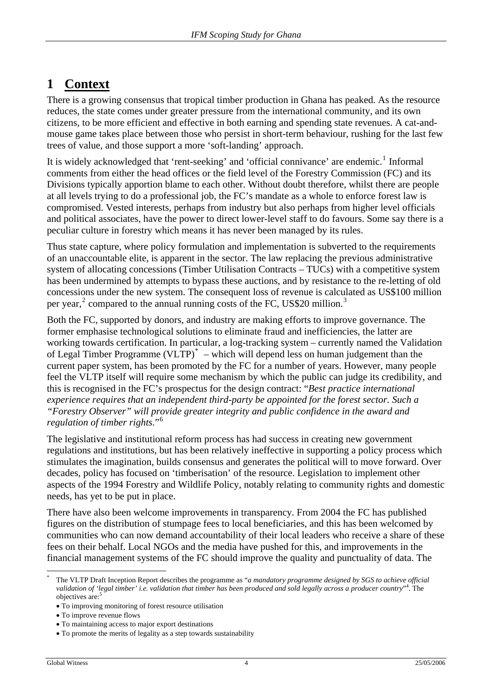## <span id="page-3-0"></span>**1 Context**

There is a growing consensus that tropical timber production in Ghana has peaked. As the resource reduces, the state comes under greater pressure from the international community, and its own citizens, to be more efficient and effective in both earning and spending state revenues. A cat-andmouse game takes place between those who persist in short-term behaviour, rushing for the last few trees of value, and those support a more 'soft-landing' approach.

It is widely acknowledged that 'rent-seeking' and 'official connivance' are endemic.<sup>[1](#page-18-0)</sup> Informal comments from either the head offices or the field level of the Forestry Commission (FC) and its Divisions typically apportion blame to each other. Without doubt therefore, whilst there are people at all levels trying to do a professional job, the FC's mandate as a whole to enforce forest law is compromised. Vested interests, perhaps from industry but also perhaps from higher level officials and political associates, have the power to direct lower-level staff to do favours. Some say there is a peculiar culture in forestry which means it has never been managed by its rules.

Thus state capture, where policy formulation and implementation is subverted to the requirements of an unaccountable elite, is apparent in the sector. The law replacing the previous administrative system of allocating concessions (Timber Utilisation Contracts – TUCs) with a competitive system has been undermined by attempts to bypass these auctions, and by resistance to the re-letting of old concessions under the new system. The consequent loss of revenue is calculated as US\$100 million per year,<sup>[2](#page-18-1)</sup> compared to the annual running costs of the FC, US\$20 million.<sup>[3](#page-18-1)</sup>

Both the FC, supported by donors, and industry are making efforts to improve governance. The former emphasise technological solutions to eliminate fraud and inefficiencies, the latter are working towards certification. In particular, a log-tracking system – currently named the Validation of Legal Timber Programme (VLTP) $*$  – which will depend less on human judgement than the current paper system, has been promoted by the FC for a number of years. However, many people feel the VLTP itself will require some mechanism by which the public can judge its credibility, and this is recognised in the FC's prospectus for the design contract: "*Best practice international experience requires that an independent third-party be appointed for the forest sector. Such a "Forestry Observer" will provide greater integrity and public confidence in the award and regulation of timber rights.*"[6](#page-18-1)

The legislative and institutional reform process has had success in creating new government regulations and institutions, but has been relatively ineffective in supporting a policy process which stimulates the imagination, builds consensus and generates the political will to move forward. Over decades, policy has focused on 'timberisation' of the resource. Legislation to implement other aspects of the 1994 Forestry and Wildlife Policy, notably relating to community rights and domestic needs, has yet to be put in place.

There have also been welcome improvements in transparency. From 2004 the FC has published figures on the distribution of stumpage fees to local beneficiaries, and this has been welcomed by communities who can now demand accountability of their local leaders who receive a share of these fees on their behalf. Local NGOs and the media have pushed for this, and improvements in the financial management systems of the FC should improve the quality and punctuality of data. The

<span id="page-3-1"></span> $\overline{a}$ \*

The VLTP Draft Inception Report describes the programme as "*a mandatory programme designed by SGS to achieve official validation of 'legal timber' i.e. validation that timber has been produced and sold legally across a producer country*" 4 . The objectives are:<sup>5</sup>

<sup>•</sup> To improving monitoring of forest resource utilisation

<sup>•</sup> To improve revenue flows

<sup>•</sup> To maintaining access to major export destinations

<sup>•</sup> To promote the merits of legality as a step towards sustainability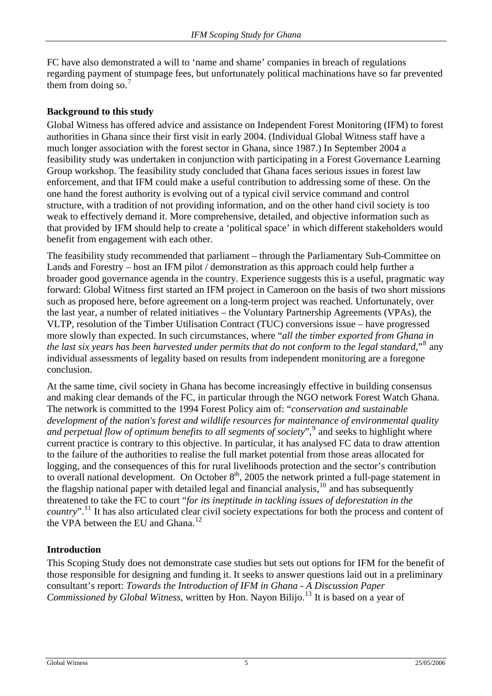<span id="page-4-0"></span>FC have also demonstrated a will to 'name and shame' companies in breach of regulations regarding payment of stumpage fees, but unfortunately political machinations have so far prevented them from doing so. $<sup>7</sup>$  $<sup>7</sup>$  $<sup>7</sup>$ </sup>

### **Background to this study**

Global Witness has offered advice and assistance on Independent Forest Monitoring (IFM) to forest authorities in Ghana since their first visit in early 2004. (Individual Global Witness staff have a much longer association with the forest sector in Ghana, since 1987.) In September 2004 a feasibility study was undertaken in conjunction with participating in a Forest Governance Learning Group workshop. The feasibility study concluded that Ghana faces serious issues in forest law enforcement, and that IFM could make a useful contribution to addressing some of these. On the one hand the forest authority is evolving out of a typical civil service command and control structure, with a tradition of not providing information, and on the other hand civil society is too weak to effectively demand it. More comprehensive, detailed, and objective information such as that provided by IFM should help to create a 'political space' in which different stakeholders would benefit from engagement with each other.

The feasibility study recommended that parliament – through the Parliamentary Sub-Committee on Lands and Forestry – host an IFM pilot / demonstration as this approach could help further a broader good governance agenda in the country. Experience suggests this is a useful, pragmatic way forward: Global Witness first started an IFM project in Cameroon on the basis of two short missions such as proposed here, before agreement on a long-term project was reached. Unfortunately, over the last year, a number of related initiatives – the Voluntary Partnership Agreements (VPAs), the VLTP, resolution of the Timber Utilisation Contract (TUC) conversions issue – have progressed more slowly than expected. In such circumstances, where "*all the timber exported from Ghana in*  the last six years has been harvested under permits that do not conform to the legal standard,"<sup>[8](#page-18-1)</sup> any individual assessments of legality based on results from independent monitoring are a foregone conclusion.

At the same time, civil society in Ghana has become increasingly effective in building consensus and making clear demands of the FC, in particular through the NGO network Forest Watch Ghana. The network is committed to the 1994 Forest Policy aim of: "*conservation and sustainable development of the nation's forest and wildlife resources for maintenance of environmental quality*  and perpetual flow of optimum benefits to all segments of society",<sup>[9](#page-18-1)</sup> and seeks to highlight where current practice is contrary to this objective. In particular, it has analysed FC data to draw attention to the failure of the authorities to realise the full market potential from those areas allocated for logging, and the consequences of this for rural livelihoods protection and the sector's contribution to overall national development. On October  $8<sup>th</sup>$ , 2005 the network printed a full-page statement in the flagship national paper with detailed legal and financial analysis,<sup>[10](#page-18-1)</sup> and has subsequently threatened to take the FC to court "*for its ineptitude in tackling issues of deforestation in the country*".[11](#page-18-1) It has also articulated clear civil society expectations for both the process and content of the VPA between the EU and Ghana.<sup>[12](#page-18-1)</sup>

### **Introduction**

This Scoping Study does not demonstrate case studies but sets out options for IFM for the benefit of those responsible for designing and funding it. It seeks to answer questions laid out in a preliminary consultant's report: *Towards the Introduction of IFM in Ghana - A Discussion Paper Commissioned by Global Witness*, written by Hon. Nayon Bilijo.<sup>[13](#page-18-1)</sup> It is based on a year of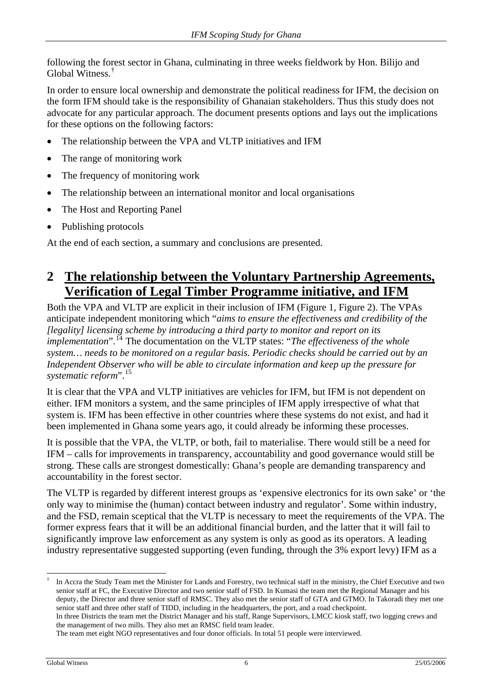<span id="page-5-0"></span>following the forest sector in Ghana, culminating in three weeks fieldwork by Hon. Bilijo and Global Witness.[†](#page-5-1)

In order to ensure local ownership and demonstrate the political readiness for IFM, the decision on the form IFM should take is the responsibility of Ghanaian stakeholders. Thus this study does not advocate for any particular approach. The document presents options and lays out the implications for these options on the following factors:

- The relationship between the VPA and VLTP initiatives and IFM
- The range of monitoring work
- The frequency of monitoring work
- The relationship between an international monitor and local organisations
- The Host and Reporting Panel
- Publishing protocols

At the end of each section, a summary and conclusions are presented.

## **2 The relationship between the Voluntary Partnership Agreements, Verification of Legal Timber Programme initiative, and IFM**

Both the VPA and VLTP are explicit in their inclusion of IFM [\(Figure 1,](#page-6-0) [Figure 2](#page-7-1)). The VPAs anticipate independent monitoring which "*aims to ensure the effectiveness and credibility of the [legality] licensing scheme by introducing a third party to monitor and report on its implementation*".<sup>[14](#page-18-1)</sup> The documentation on the VLTP states: "*The effectiveness of the whole system… needs to be monitored on a regular basis. Periodic checks should be carried out by an Independent Observer who will be able to circulate information and keep up the pressure for systematic reform*".[15](#page-18-1)

It is clear that the VPA and VLTP initiatives are vehicles for IFM, but IFM is not dependent on either. IFM monitors a system, and the same principles of IFM apply irrespective of what that system is. IFM has been effective in other countries where these systems do not exist, and had it been implemented in Ghana some years ago, it could already be informing these processes.

It is possible that the VPA, the VLTP, or both, fail to materialise. There would still be a need for IFM – calls for improvements in transparency, accountability and good governance would still be strong. These calls are strongest domestically: Ghana's people are demanding transparency and accountability in the forest sector.

The VLTP is regarded by different interest groups as 'expensive electronics for its own sake' or 'the only way to minimise the (human) contact between industry and regulator'. Some within industry, and the FSD, remain sceptical that the VLTP is necessary to meet the requirements of the VPA. The former express fears that it will be an additional financial burden, and the latter that it will fail to significantly improve law enforcement as any system is only as good as its operators. A leading industry representative suggested supporting (even funding, through the 3% export levy) IFM as a

<span id="page-5-1"></span> $\overline{a}$ † In Accra the Study Team met the Minister for Lands and Forestry, two technical staff in the ministry, the Chief Executive and two senior staff at FC, the Executive Director and two senior staff of FSD. In Kumasi the team met the Regional Manager and his deputy, the Director and three senior staff of RMSC. They also met the senior staff of GTA and GTMO. In Takoradi they met one senior staff and three other staff of TIDD, including in the headquarters, the port, and a road checkpoint. In three Districts the team met the District Manager and his staff, Range Supervisors, LMCC kiosk staff, two logging crews and the management of two mills. They also met an RMSC field team leader.

The team met eight NGO representatives and four donor officials. In total 51 people were interviewed.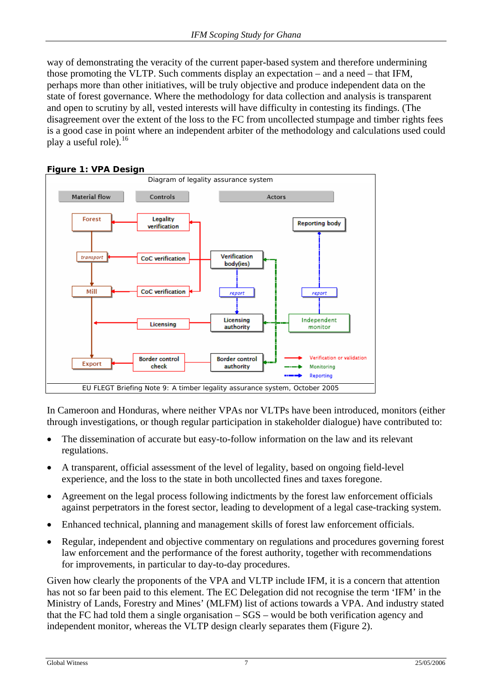way of demonstrating the veracity of the current paper-based system and therefore undermining those promoting the VLTP. Such comments display an expectation – and a need – that IFM, perhaps more than other initiatives, will be truly objective and produce independent data on the state of forest governance. Where the methodology for data collection and analysis is transparent and open to scrutiny by all, vested interests will have difficulty in contesting its findings. (The disagreement over the extent of the loss to the FC from uncollected stumpage and timber rights fees is a good case in point where an independent arbiter of the methodology and calculations used could play a useful role).<sup>[16](#page-18-1)</sup>

<span id="page-6-0"></span>

**Figure 1: VPA Design** 

In Cameroon and Honduras, where neither VPAs nor VLTPs have been introduced, monitors (either through investigations, or though regular participation in stakeholder dialogue) have contributed to:

- The dissemination of accurate but easy-to-follow information on the law and its relevant regulations.
- A transparent, official assessment of the level of legality, based on ongoing field-level experience, and the loss to the state in both uncollected fines and taxes foregone.
- Agreement on the legal process following indictments by the forest law enforcement officials against perpetrators in the forest sector, leading to development of a legal case-tracking system.
- Enhanced technical, planning and management skills of forest law enforcement officials.
- Regular, independent and objective commentary on regulations and procedures governing forest law enforcement and the performance of the forest authority, together with recommendations for improvements, in particular to day-to-day procedures.

Given how clearly the proponents of the VPA and VLTP include IFM, it is a concern that attention has not so far been paid to this element. The EC Delegation did not recognise the term 'IFM' in the Ministry of Lands, Forestry and Mines' (MLFM) list of actions towards a VPA. And industry stated that the FC had told them a single organisation – SGS – would be both verification agency and independent monitor, whereas the VLTP design clearly separates them [\(Figure 2\)](#page-7-1).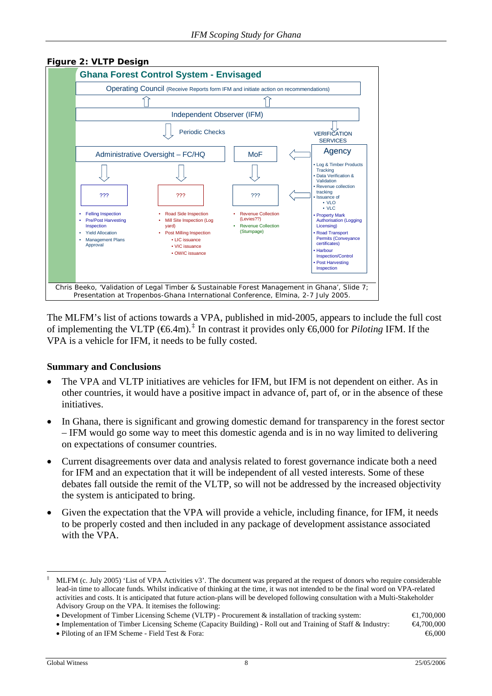

#### <span id="page-7-1"></span><span id="page-7-0"></span>**Figure 2: VLTP Design**

The MLFM's list of actions towards a VPA, published in mid-2005, appears to include the full cost of implementing the VLTP ( $\bigoplus$ .4m).<sup>[‡](#page-7-2)</sup> In contrast it provides only  $\bigoplus$ ,000 for *Piloting* IFM. If the VPA is a vehicle for IFM, it needs to be fully costed.

#### **Summary and Conclusions**

- The VPA and VLTP initiatives are vehicles for IFM, but IFM is not dependent on either. As in other countries, it would have a positive impact in advance of, part of, or in the absence of these initiatives.
- In Ghana, there is significant and growing domestic demand for transparency in the forest sector – IFM would go some way to meet this domestic agenda and is in no way limited to delivering on expectations of consumer countries.
- Current disagreements over data and analysis related to forest governance indicate both a need for IFM and an expectation that it will be independent of all vested interests. Some of these debates fall outside the remit of the VLTP, so will not be addressed by the increased objectivity the system is anticipated to bring.
- Given the expectation that the VPA will provide a vehicle, including finance, for IFM, it needs to be properly costed and then included in any package of development assistance associated with the VPA.

 $\overline{a}$ 

<span id="page-7-2"></span><sup>‡</sup> MLFM (c. July 2005) 'List of VPA Activities v3'. The document was prepared at the request of donors who require considerable lead-in time to allocate funds. Whilst indicative of thinking at the time, it was not intended to be the final word on VPA-related activities and costs. It is anticipated that future action-plans will be developed following consultation with a Multi-Stakeholder Advisory Group on the VPA. It itemises the following:

<sup>•</sup> Development of Timber Licensing Scheme (VLTP) - Procurement & installation of tracking system: €1,700,000

<sup>•</sup> Implementation of Timber Licensing Scheme (Capacity Building) - Roll out and Training of Staff & Industry: €4,700,000

<sup>•</sup> Piloting of an IFM Scheme - Field Test & Fora:  $66,000$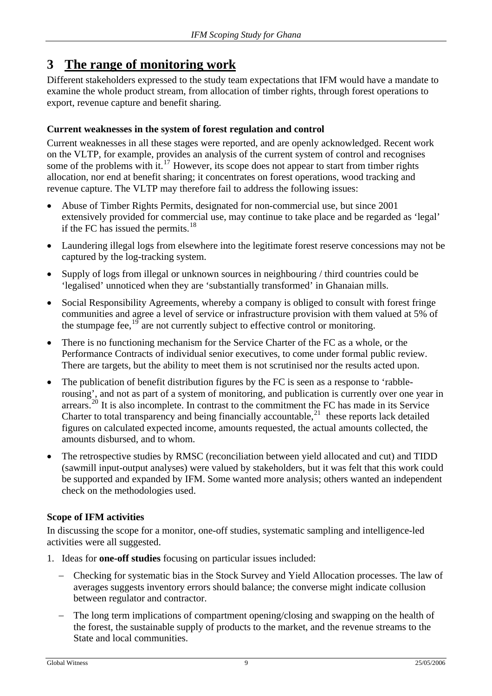## <span id="page-8-0"></span>**3 The range of monitoring work**

Different stakeholders expressed to the study team expectations that IFM would have a mandate to examine the whole product stream, from allocation of timber rights, through forest operations to export, revenue capture and benefit sharing.

### **Current weaknesses in the system of forest regulation and control**

Current weaknesses in all these stages were reported, and are openly acknowledged. Recent work on the VLTP, for example, provides an analysis of the current system of control and recognises some of the problems with it.<sup>[17](#page-18-1)</sup> However, its scope does not appear to start from timber rights allocation, nor end at benefit sharing; it concentrates on forest operations, wood tracking and revenue capture. The VLTP may therefore fail to address the following issues:

- Abuse of Timber Rights Permits, designated for non-commercial use, but since 2001 extensively provided for commercial use, may continue to take place and be regarded as 'legal' if the FC has issued the permits. $18$
- Laundering illegal logs from elsewhere into the legitimate forest reserve concessions may not be captured by the log-tracking system.
- Supply of logs from illegal or unknown sources in neighbouring / third countries could be 'legalised' unnoticed when they are 'substantially transformed' in Ghanaian mills.
- Social Responsibility Agreements, whereby a company is obliged to consult with forest fringe communities and agree a level of service or infrastructure provision with them valued at 5% of the stumpage fee, $19$  are not currently subject to effective control or monitoring.
- There is no functioning mechanism for the Service Charter of the FC as a whole, or the Performance Contracts of individual senior executives, to come under formal public review. There are targets, but the ability to meet them is not scrutinised nor the results acted upon.
- The publication of benefit distribution figures by the FC is seen as a response to 'rabblerousing', and not as part of a system of monitoring, and publication is currently over one year in  $\arccos_2^{20}$  $\arccos_2^{20}$  $\arccos_2^{20}$  It is also incomplete. In contrast to the commitment the FC has made in its Service Charter to total transparency and being financially accountable, $^{21}$  $^{21}$  $^{21}$  these reports lack detailed figures on calculated expected income, amounts requested, the actual amounts collected, the amounts disbursed, and to whom.
- The retrospective studies by RMSC (reconciliation between yield allocated and cut) and TIDD (sawmill input-output analyses) were valued by stakeholders, but it was felt that this work could be supported and expanded by IFM. Some wanted more analysis; others wanted an independent check on the methodologies used.

### **Scope of IFM activities**

In discussing the scope for a monitor, one-off studies, systematic sampling and intelligence-led activities were all suggested.

- 1. Ideas for **one-off studies** focusing on particular issues included:
	- − Checking for systematic bias in the Stock Survey and Yield Allocation processes. The law of averages suggests inventory errors should balance; the converse might indicate collusion between regulator and contractor.
	- − The long term implications of compartment opening/closing and swapping on the health of the forest, the sustainable supply of products to the market, and the revenue streams to the State and local communities.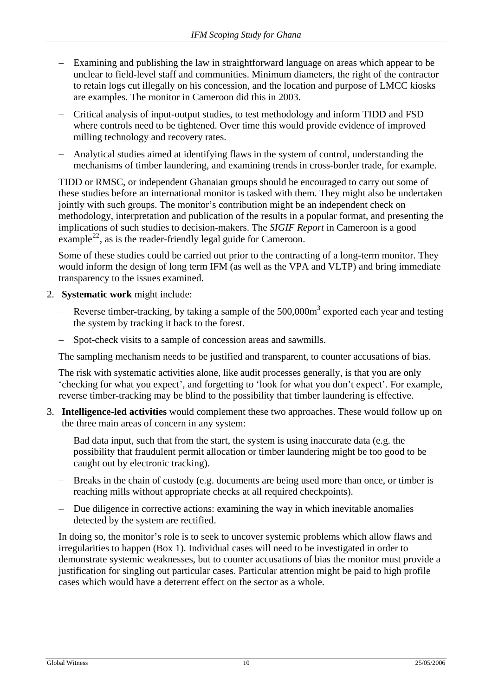- Examining and publishing the law in straightforward language on areas which appear to be unclear to field-level staff and communities. Minimum diameters, the right of the contractor to retain logs cut illegally on his concession, and the location and purpose of LMCC kiosks are examples. The monitor in Cameroon did this in 2003.
- − Critical analysis of input-output studies, to test methodology and inform TIDD and FSD where controls need to be tightened. Over time this would provide evidence of improved milling technology and recovery rates.
- − Analytical studies aimed at identifying flaws in the system of control, understanding the mechanisms of timber laundering, and examining trends in cross-border trade, for example.

TIDD or RMSC, or independent Ghanaian groups should be encouraged to carry out some of these studies before an international monitor is tasked with them. They might also be undertaken jointly with such groups. The monitor's contribution might be an independent check on methodology, interpretation and publication of the results in a popular format, and presenting the implications of such studies to decision-makers. The *SIGIF Report* in Cameroon is a good example<sup>[22](#page-18-1)</sup>, as is the reader-friendly legal guide for Cameroon.

Some of these studies could be carried out prior to the contracting of a long-term monitor. They would inform the design of long term IFM (as well as the VPA and VLTP) and bring immediate transparency to the issues examined.

- 2. **Systematic work** might include:
	- − Reverse timber-tracking, by taking a sample of the 500,000m<sup>3</sup> exported each year and testing the system by tracking it back to the forest.
	- Spot-check visits to a sample of concession areas and sawmills.

The sampling mechanism needs to be justified and transparent, to counter accusations of bias.

The risk with systematic activities alone, like audit processes generally, is that you are only 'checking for what you expect', and forgetting to 'look for what you don't expect'. For example, reverse timber-tracking may be blind to the possibility that timber laundering is effective.

- 3. **Intelligence-led activities** would complement these two approaches. These would follow up on the three main areas of concern in any system:
	- − Bad data input, such that from the start, the system is using inaccurate data (e.g. the possibility that fraudulent permit allocation or timber laundering might be too good to be caught out by electronic tracking).
	- − Breaks in the chain of custody (e.g. documents are being used more than once, or timber is reaching mills without appropriate checks at all required checkpoints).
	- − Due diligence in corrective actions: examining the way in which inevitable anomalies detected by the system are rectified.

In doing so, the monitor's role is to seek to uncover systemic problems which allow flaws and irregularities to happen (Box 1). Individual cases will need to be investigated in order to demonstrate systemic weaknesses, but to counter accusations of bias the monitor must provide a justification for singling out particular cases. Particular attention might be paid to high profile cases which would have a deterrent effect on the sector as a whole.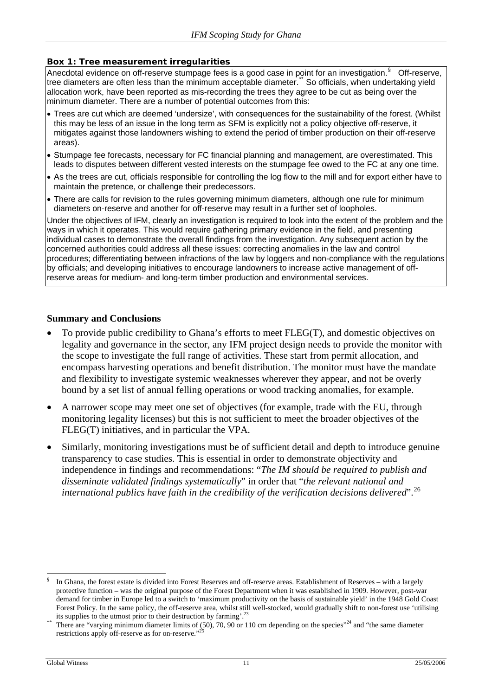#### <span id="page-10-0"></span>**Box 1: Tree measurement irregularities**

Anecdotal evidence on off-reserve stumpage fees is a good case in point for an investigation.  $§$  Off-reserve, tree diameters are often less than the minimum acceptable diameter." So officials, when undertaking yield allocation work, have been reported as mis-recording the trees they agree to be cut as being over the minimum diameter. There are a number of potential outcomes from this:

- Trees are cut which are deemed 'undersize', with consequences for the sustainability of the forest. (Whilst this may be less of an issue in the long term as SFM is explicitly not a policy objective off-reserve, it mitigates against those landowners wishing to extend the period of timber production on their off-reserve areas).
- Stumpage fee forecasts, necessary for FC financial planning and management, are overestimated. This leads to disputes between different vested interests on the stumpage fee owed to the FC at any one time.
- As the trees are cut, officials responsible for controlling the log flow to the mill and for export either have to maintain the pretence, or challenge their predecessors.
- There are calls for revision to the rules governing minimum diameters, although one rule for minimum diameters on-reserve and another for off-reserve may result in a further set of loopholes.

Under the objectives of IFM, clearly an investigation is required to look into the extent of the problem and the ways in which it operates. This would require gathering primary evidence in the field, and presenting individual cases to demonstrate the overall findings from the investigation. Any subsequent action by the concerned authorities could address all these issues: correcting anomalies in the law and control procedures; differentiating between infractions of the law by loggers and non-compliance with the regulations by officials; and developing initiatives to encourage landowners to increase active management of offreserve areas for medium- and long-term timber production and environmental services.

#### **Summary and Conclusions**

- To provide public credibility to Ghana's efforts to meet FLEG(T), and domestic objectives on legality and governance in the sector, any IFM project design needs to provide the monitor with the scope to investigate the full range of activities. These start from permit allocation, and encompass harvesting operations and benefit distribution. The monitor must have the mandate and flexibility to investigate systemic weaknesses wherever they appear, and not be overly bound by a set list of annual felling operations or wood tracking anomalies, for example.
- A narrower scope may meet one set of objectives (for example, trade with the EU, through monitoring legality licenses) but this is not sufficient to meet the broader objectives of the FLEG(T) initiatives, and in particular the VPA.
- Similarly, monitoring investigations must be of sufficient detail and depth to introduce genuine transparency to case studies. This is essential in order to demonstrate objectivity and independence in findings and recommendations: "*The IM should be required to publish and disseminate validated findings systematically*" in order that "*the relevant national and international publics have faith in the credibility of the verification decisions delivered*".[26](#page-18-1)

<span id="page-10-1"></span> $\overline{a}$ § In Ghana, the forest estate is divided into Forest Reserves and off-reserve areas. Establishment of Reserves – with a largely protective function – was the original purpose of the Forest Department when it was established in 1909. However, post-war demand for timber in Europe led to a switch to 'maximum productivity on the basis of sustainable yield' in the 1948 Gold Coast Forest Policy. In the same policy, the off-reserve area, whilst still well-stocked, would gradually shift to non-forest use 'utilising its supplies to the utmost prior to their destruction by farming'.<sup>23</sup>

<span id="page-10-2"></span>There are "varying minimum diameter limits of (50), 70, 90 or 110 cm depending on the species"<sup>24</sup> and "the same diameter restrictions apply off-reserve as for on-reserve."<sup>25</sup>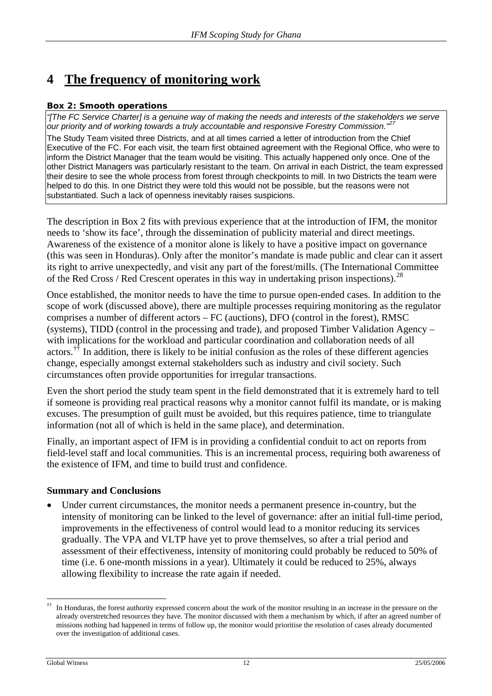## <span id="page-11-0"></span>**4 The frequency of monitoring work**

### **Box 2: Smooth operations**

*"[The FC Service Charter] is a genuine way of making the needs and interests of the stakeholders we serve our priority and of working towards a truly accountable and responsive Forestry Commission."[27](#page-18-1)*

The Study Team visited three Districts, and at all times carried a letter of introduction from the Chief Executive of the FC. For each visit, the team first obtained agreement with the Regional Office, who were to inform the District Manager that the team would be visiting. This actually happened only once. One of the other District Managers was particularly resistant to the team. On arrival in each District, the team expressed their desire to see the whole process from forest through checkpoints to mill. In two Districts the team were helped to do this. In one District they were told this would not be possible, but the reasons were not substantiated. Such a lack of openness inevitably raises suspicions.

The description in Box 2 fits with previous experience that at the introduction of IFM, the monitor needs to 'show its face', through the dissemination of publicity material and direct meetings. Awareness of the existence of a monitor alone is likely to have a positive impact on governance (this was seen in Honduras). Only after the monitor's mandate is made public and clear can it assert its right to arrive unexpectedly, and visit any part of the forest/mills. (The International Committee of the Red Cross / Red Crescent operates in this way in undertaking prison inspections).<sup>[28](#page-18-1)</sup>

Once established, the monitor needs to have the time to pursue open-ended cases. In addition to the scope of work (discussed above), there are multiple processes requiring monitoring as the regulator comprises a number of different actors – FC (auctions), DFO (control in the forest), RMSC (systems), TIDD (control in the processing and trade), and proposed Timber Validation Agency – with implications for the workload and particular coordination and collaboration needs of all actors.<sup> $\dagger\ddagger$ </sup> In addition, there is likely to be initial confusion as the roles of these different agencies change, especially amongst external stakeholders such as industry and civil society. Such circumstances often provide opportunities for irregular transactions.

Even the short period the study team spent in the field demonstrated that it is extremely hard to tell if someone is providing real practical reasons why a monitor cannot fulfil its mandate, or is making excuses. The presumption of guilt must be avoided, but this requires patience, time to triangulate information (not all of which is held in the same place), and determination.

Finally, an important aspect of IFM is in providing a confidential conduit to act on reports from field-level staff and local communities. This is an incremental process, requiring both awareness of the existence of IFM, and time to build trust and confidence.

### **Summary and Conclusions**

• Under current circumstances, the monitor needs a permanent presence in-country, but the intensity of monitoring can be linked to the level of governance: after an initial full-time period, improvements in the effectiveness of control would lead to a monitor reducing its services gradually. The VPA and VLTP have yet to prove themselves, so after a trial period and assessment of their effectiveness, intensity of monitoring could probably be reduced to 50% of time (i.e. 6 one-month missions in a year). Ultimately it could be reduced to 25%, always allowing flexibility to increase the rate again if needed.

<span id="page-11-1"></span> $\overline{a}$ †† In Honduras, the forest authority expressed concern about the work of the monitor resulting in an increase in the pressure on the already overstretched resources they have. The monitor discussed with them a mechanism by which, if after an agreed number of missions nothing had happened in terms of follow up, the monitor would prioritise the resolution of cases already documented over the investigation of additional cases.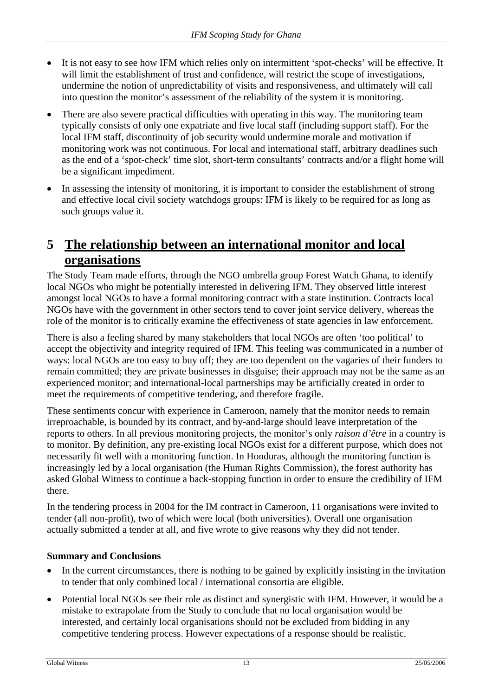- <span id="page-12-0"></span>It is not easy to see how IFM which relies only on intermittent 'spot-checks' will be effective. It will limit the establishment of trust and confidence, will restrict the scope of investigations, undermine the notion of unpredictability of visits and responsiveness, and ultimately will call into question the monitor's assessment of the reliability of the system it is monitoring.
- There are also severe practical difficulties with operating in this way. The monitoring team typically consists of only one expatriate and five local staff (including support staff). For the local IFM staff, discontinuity of job security would undermine morale and motivation if monitoring work was not continuous. For local and international staff, arbitrary deadlines such as the end of a 'spot-check' time slot, short-term consultants' contracts and/or a flight home will be a significant impediment.
- In assessing the intensity of monitoring, it is important to consider the establishment of strong and effective local civil society watchdogs groups: IFM is likely to be required for as long as such groups value it.

### **5 The relationship between an international monitor and local organisations**

The Study Team made efforts, through the NGO umbrella group Forest Watch Ghana, to identify local NGOs who might be potentially interested in delivering IFM. They observed little interest amongst local NGOs to have a formal monitoring contract with a state institution. Contracts local NGOs have with the government in other sectors tend to cover joint service delivery, whereas the role of the monitor is to critically examine the effectiveness of state agencies in law enforcement.

There is also a feeling shared by many stakeholders that local NGOs are often 'too political' to accept the objectivity and integrity required of IFM. This feeling was communicated in a number of ways: local NGOs are too easy to buy off; they are too dependent on the vagaries of their funders to remain committed; they are private businesses in disguise; their approach may not be the same as an experienced monitor; and international-local partnerships may be artificially created in order to meet the requirements of competitive tendering, and therefore fragile.

These sentiments concur with experience in Cameroon, namely that the monitor needs to remain irreproachable, is bounded by its contract, and by-and-large should leave interpretation of the reports to others. In all previous monitoring projects, the monitor's only *raison d'être* in a country is to monitor. By definition, any pre-existing local NGOs exist for a different purpose, which does not necessarily fit well with a monitoring function. In Honduras, although the monitoring function is increasingly led by a local organisation (the Human Rights Commission), the forest authority has asked Global Witness to continue a back-stopping function in order to ensure the credibility of IFM there.

In the tendering process in 2004 for the IM contract in Cameroon, 11 organisations were invited to tender (all non-profit), two of which were local (both universities). Overall one organisation actually submitted a tender at all, and five wrote to give reasons why they did not tender.

### **Summary and Conclusions**

- In the current circumstances, there is nothing to be gained by explicitly insisting in the invitation to tender that only combined local / international consortia are eligible.
- Potential local NGOs see their role as distinct and synergistic with IFM. However, it would be a mistake to extrapolate from the Study to conclude that no local organisation would be interested, and certainly local organisations should not be excluded from bidding in any competitive tendering process. However expectations of a response should be realistic.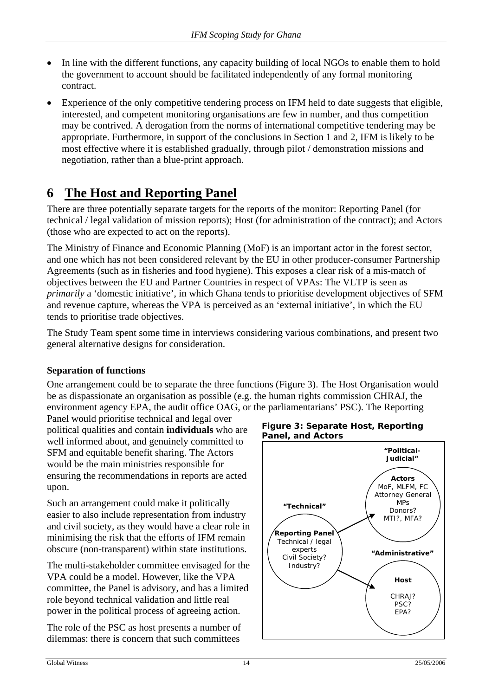- <span id="page-13-0"></span>• In line with the different functions, any capacity building of local NGOs to enable them to hold the government to account should be facilitated independently of any formal monitoring contract.
- Experience of the only competitive tendering process on IFM held to date suggests that eligible, interested, and competent monitoring organisations are few in number, and thus competition may be contrived. A derogation from the norms of international competitive tendering may be appropriate. Furthermore, in support of the conclusions in Section 1 and 2, IFM is likely to be most effective where it is established gradually, through pilot / demonstration missions and negotiation, rather than a blue-print approach.

## **6 The Host and Reporting Panel**

There are three potentially separate targets for the reports of the monitor: Reporting Panel (for technical / legal validation of mission reports); Host (for administration of the contract); and Actors (those who are expected to act on the reports).

The Ministry of Finance and Economic Planning (MoF) is an important actor in the forest sector, and one which has not been considered relevant by the EU in other producer-consumer Partnership Agreements (such as in fisheries and food hygiene). This exposes a clear risk of a mis-match of objectives between the EU and Partner Countries in respect of VPAs: The VLTP is seen as *primarily* a 'domestic initiative', in which Ghana tends to prioritise development objectives of SFM and revenue capture, whereas the VPA is perceived as an 'external initiative', in which the EU tends to prioritise trade objectives.

The Study Team spent some time in interviews considering various combinations, and present two general alternative designs for consideration.

### **Separation of functions**

One arrangement could be to separate the three functions (Figure 3). The Host Organisation would be as dispassionate an organisation as possible (e.g. the human rights commission CHRAJ, the environment agency EPA, the audit office OAG, or the parliamentarians' PSC). The Reporting

Panel would prioritise technical and legal over political qualities and contain **individuals** who are well informed about, and genuinely committed to SFM and equitable benefit sharing. The Actors would be the main ministries responsible for ensuring the recommendations in reports are acted upon.

Such an arrangement could make it politically easier to also include representation from industry and civil society, as they would have a clear role in minimising the risk that the efforts of IFM remain obscure (non-transparent) within state institutions.

The multi-stakeholder committee envisaged for the VPA could be a model. However, like the VPA committee, the Panel is advisory, and has a limited role beyond technical validation and little real power in the political process of agreeing action.

The role of the PSC as host presents a number of dilemmas: there is concern that such committees



#### **Figure 3: Separate Host, Reporting Panel, and Actors**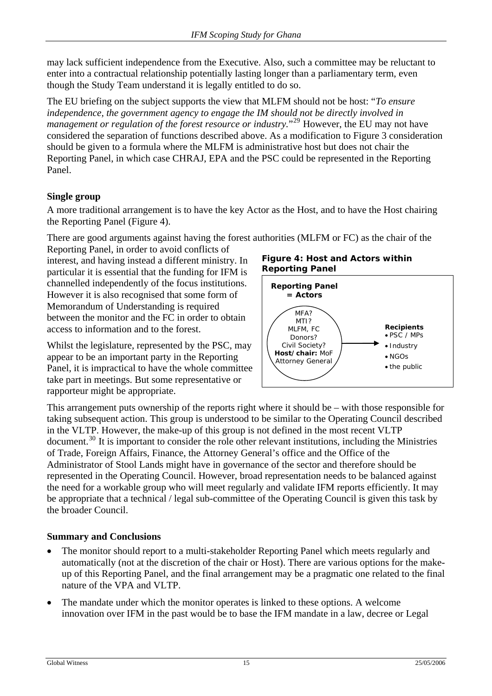<span id="page-14-0"></span>may lack sufficient independence from the Executive. Also, such a committee may be reluctant to enter into a contractual relationship potentially lasting longer than a parliamentary term, even though the Study Team understand it is legally entitled to do so.

The EU briefing on the subject supports the view that MLFM should not be host: "*To ensure independence, the government agency to engage the IM should not be directly involved in mathements, the government agency to engage the infusionality of all edity inversal in*<br>management or regulation of the forest resource or industry.<sup>"[29](#page-18-1)</sup> However, the EU may not have considered the separation of functions described above. As a modification to Figure 3 consideration should be given to a formula where the MLFM is administrative host but does not chair the Reporting Panel, in which case CHRAJ, EPA and the PSC could be represented in the Reporting Panel.

### **Single group**

A more traditional arrangement is to have the key Actor as the Host, and to have the Host chairing the Reporting Panel (Figure 4).

There are good arguments against having the forest authorities (MLFM or FC) as the chair of the

Reporting Panel, in order to avoid conflicts of interest, and having instead a different ministry. In particular it is essential that the funding for IFM is channelled independently of the focus institutions. However it is also recognised that some form of Memorandum of Understanding is required between the monitor and the FC in order to obtain access to information and to the forest.

Whilst the legislature, represented by the PSC, may appear to be an important party in the Reporting Panel, it is impractical to have the whole committee take part in meetings. But some representative or rapporteur might be appropriate.

**Figure 4: Host and Actors within Reporting Panel**



This arrangement puts ownership of the reports right where it should be – with those responsible for taking subsequent action. This group is understood to be similar to the Operating Council described in the VLTP. However, the make-up of this group is not defined in the most recent VLTP document.[30](#page-18-1) It is important to consider the role other relevant institutions, including the Ministries of Trade, Foreign Affairs, Finance, the Attorney General's office and the Office of the Administrator of Stool Lands might have in governance of the sector and therefore should be represented in the Operating Council. However, broad representation needs to be balanced against the need for a workable group who will meet regularly and validate IFM reports efficiently. It may be appropriate that a technical / legal sub-committee of the Operating Council is given this task by the broader Council.

### **Summary and Conclusions**

- The monitor should report to a multi-stakeholder Reporting Panel which meets regularly and automatically (not at the discretion of the chair or Host). There are various options for the makeup of this Reporting Panel, and the final arrangement may be a pragmatic one related to the final nature of the VPA and VLTP.
- The mandate under which the monitor operates is linked to these options. A welcome innovation over IFM in the past would be to base the IFM mandate in a law, decree or Legal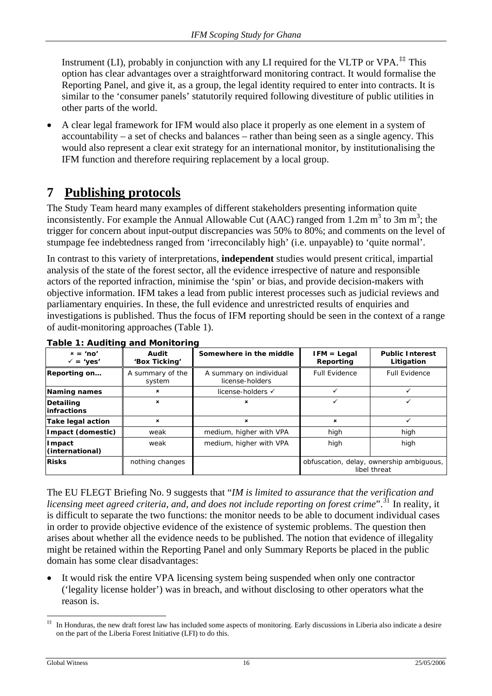<span id="page-15-0"></span>Instrument (LI), probably in conjunction with any LI required for the VLTP or VPA.<sup>[‡‡](#page-15-1)</sup> This option has clear advantages over a straightforward monitoring contract. It would formalise the Reporting Panel, and give it, as a group, the legal identity required to enter into contracts. It is similar to the 'consumer panels' statutorily required following divestiture of public utilities in other parts of the world.

• A clear legal framework for IFM would also place it properly as one element in a system of accountability – a set of checks and balances – rather than being seen as a single agency. This would also represent a clear exit strategy for an international monitor, by institutionalising the IFM function and therefore requiring replacement by a local group.

## **7 Publishing protocols**

The Study Team heard many examples of different stakeholders presenting information quite inconsistently. For example the Annual Allowable Cut (AAC) ranged from 1.2m  $m^3$  to  $3m m^3$ ; the trigger for concern about input-output discrepancies was 50% to 80%; and comments on the level of stumpage fee indebtedness ranged from 'irreconcilably high' (i.e. unpayable) to 'quite normal'.

In contrast to this variety of interpretations, **independent** studies would present critical, impartial analysis of the state of the forest sector, all the evidence irrespective of nature and responsible actors of the reported infraction, minimise the 'spin' or bias, and provide decision-makers with objective information. IFM takes a lead from public interest processes such as judicial reviews and parliamentary enquiries. In these, the full evidence and unrestricted results of enquiries and investigations is published. Thus the focus of IFM reporting should be seen in the context of a range of audit-monitoring approaches (Table 1).

<span id="page-15-2"></span>

| $x = 'no'$<br>$\sqrt{ }$ = 'yes' | Audit<br>'Box Ticking'     | Somewhere in the middle                    | $IFM = Legal$<br>Reporting | <b>Public Interest</b><br>Litigation                     |  |  |  |
|----------------------------------|----------------------------|--------------------------------------------|----------------------------|----------------------------------------------------------|--|--|--|
| Reporting on                     | A summary of the<br>system | A summary on individual<br>license-holders | <b>Full Evidence</b>       | <b>Full Evidence</b>                                     |  |  |  |
| <b>Naming names</b>              | ×                          | license-holders √                          |                            |                                                          |  |  |  |
| Detailing<br><b>linfractions</b> | ×                          | ×                                          | ✓                          |                                                          |  |  |  |
| Take legal action                | ×                          | ×                                          | $\mathbf x$                |                                                          |  |  |  |
| Impact (domestic)                | weak                       | medium, higher with VPA                    | high                       | high                                                     |  |  |  |
| Impact<br>(international)        | weak                       | medium, higher with VPA                    | high                       | high                                                     |  |  |  |
| <b>Risks</b>                     | nothing changes            |                                            |                            | obfuscation, delay, ownership ambiguous,<br>libel threat |  |  |  |

**Table 1: Auditing and Monitoring** 

The EU FLEGT Briefing No. 9 suggests that "*IM is limited to assurance that the verification and licensing meet agreed criteria, and, and does not include reporting on forest crime*".<sup>[31](#page-18-1)</sup> In reality, it is difficult to separate the two functions: the monitor needs to be able to document individual cases in order to provide objective evidence of the existence of systemic problems. The question then arises about whether all the evidence needs to be published. The notion that evidence of illegality might be retained within the Reporting Panel and only Summary Reports be placed in the public domain has some clear disadvantages:

It would risk the entire VPA licensing system being suspended when only one contractor ('legality license holder') was in breach, and without disclosing to other operators what the reason is.

<span id="page-15-1"></span> $\overline{a}$ ‡‡ In Honduras, the new draft forest law has included some aspects of monitoring. Early discussions in Liberia also indicate a desire on the part of the Liberia Forest Initiative (LFI) to do this.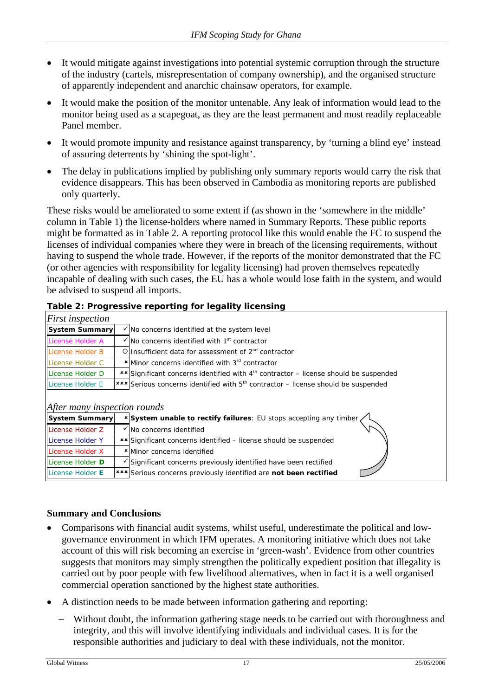- <span id="page-16-0"></span>It would mitigate against investigations into potential systemic corruption through the structure of the industry (cartels, misrepresentation of company ownership), and the organised structure of apparently independent and anarchic chainsaw operators, for example.
- It would make the position of the monitor untenable. Any leak of information would lead to the monitor being used as a scapegoat, as they are the least permanent and most readily replaceable Panel member.
- It would promote impunity and resistance against transparency, by 'turning a blind eye' instead of assuring deterrents by 'shining the spot-light'.
- The delay in publications implied by publishing only summary reports would carry the risk that evidence disappears. This has been observed in Cambodia as monitoring reports are published only quarterly.

These risks would be ameliorated to some extent if (as shown in the 'somewhere in the middle' column in [Table 1](#page-15-2)) the license-holders where named in Summary Reports. These public reports might be formatted as in [Table 2](#page-16-1). A reporting protocol like this would enable the FC to suspend the licenses of individual companies where they were in breach of the licensing requirements, without having to suspend the whole trade. However, if the reports of the monitor demonstrated that the FC (or other agencies with responsibility for legality licensing) had proven themselves repeatedly incapable of dealing with such cases, the EU has a whole would lose faith in the system, and would be advised to suspend all imports.

#### **Table 2: Progressive reporting for legality licensing**

<span id="page-16-1"></span>

| <i>First inspection</i>      |  |                                                                                                            |  |  |  |  |
|------------------------------|--|------------------------------------------------------------------------------------------------------------|--|--|--|--|
| <b>System Summary</b>        |  | $\sqrt{}$ No concerns identified at the system level                                                       |  |  |  |  |
| License Holder A             |  | $\checkmark$ No concerns identified with 1 <sup>st</sup> contractor                                        |  |  |  |  |
| License Holder B             |  | Olinsufficient data for assessment of $2nd$ contractor                                                     |  |  |  |  |
| License Holder C             |  | * Minor concerns identified with 3 <sup>rd</sup> contractor                                                |  |  |  |  |
| License Holder D             |  | <b>**</b> Significant concerns identified with 4 <sup>th</sup> contractor – license should be suspended    |  |  |  |  |
| License Holder E             |  | *** Serious concerns identified with 5 <sup>th</sup> contractor – license should be suspended              |  |  |  |  |
|                              |  |                                                                                                            |  |  |  |  |
| After many inspection rounds |  |                                                                                                            |  |  |  |  |
| System Summary               |  | $\overline{x}$ System unable to rectify failures: EU stops accepting any timber $\left\langle \right\vert$ |  |  |  |  |
| License Holder Z             |  | No concerns identified                                                                                     |  |  |  |  |
| License Holder Y             |  | <b>**</b> Significant concerns identified – license should be suspended                                    |  |  |  |  |
| License Holder X             |  | *Minor concerns identified                                                                                 |  |  |  |  |
| License Holder D             |  | Significant concerns previously identified have been rectified                                             |  |  |  |  |

### **Summary and Conclusions**

- Comparisons with financial audit systems, whilst useful, underestimate the political and lowgovernance environment in which IFM operates. A monitoring initiative which does not take account of this will risk becoming an exercise in 'green-wash'. Evidence from other countries suggests that monitors may simply strengthen the politically expedient position that illegality is carried out by poor people with few livelihood alternatives, when in fact it is a well organised commercial operation sanctioned by the highest state authorities.
- A distinction needs to be made between information gathering and reporting:

License Holder **E**  $\left| \begin{matrix} \mathbf{x} \cdot \mathbf{x} \\ \mathbf{y} \end{matrix} \right|$  Serious concerns previously identified are **not been rectified** 

− Without doubt, the information gathering stage needs to be carried out with thoroughness and integrity, and this will involve identifying individuals and individual cases. It is for the responsible authorities and judiciary to deal with these individuals, not the monitor.

 $\overline{\phantom{a}}$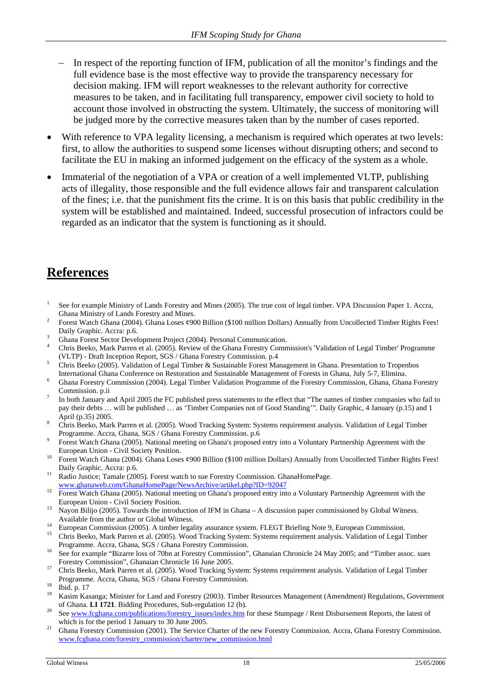- <span id="page-17-0"></span>In respect of the reporting function of IFM, publication of all the monitor's findings and the full evidence base is the most effective way to provide the transparency necessary for decision making. IFM will report weaknesses to the relevant authority for corrective measures to be taken, and in facilitating full transparency, empower civil society to hold to account those involved in obstructing the system. Ultimately, the success of monitoring will be judged more by the corrective measures taken than by the number of cases reported.
- With reference to VPA legality licensing, a mechanism is required which operates at two levels: first, to allow the authorities to suspend some licenses without disrupting others; and second to facilitate the EU in making an informed judgement on the efficacy of the system as a whole.
- Immaterial of the negotiation of a VPA or creation of a well implemented VLTP, publishing acts of illegality, those responsible and the full evidence allows fair and transparent calculation of the fines; i.e. that the punishment fits the crime. It is on this basis that public credibility in the system will be established and maintained. Indeed, successful prosecution of infractors could be regarded as an indicator that the system is functioning as it should.

## **References**

- 1 See for example Ministry of Lands Forestry and Mines (2005). The true cost of legal timber. VPA Discussion Paper 1. Accra, Ghana Ministry of Lands Forestry and Mines. 2
- Forest Watch Ghana (2004). Ghana Loses ¢900 Billion (\$100 million Dollars) Annually from Uncollected Timber Rights Fees! Daily Graphic. Accra: p.6.
- Ghana Forest Sector Development Project (2004). Personal Communication. 4
- Chris Beeko, Mark Parren et al. (2005). Review of the Ghana Forestry Commission's 'Validation of Legal Timber' Programme (VLTP) - Draft Inception Report, SGS / Ghana Forestry Commission. p.4 5
- Chris Beeko (2005). Validation of Legal Timber & Sustainable Forest Management in Ghana. Presentation to Tropenbos International Ghana Conference on Restoration and Sustainable Management of Forests in Ghana, July 5-7, Elimina. 6
- Ghana Forestry Commission (2004). Legal Timber Validation Programme of the Forestry Commission, Ghana, Ghana Forestry Commission. p.ii 7
- In both January and April 2005 the FC published press statements to the effect that "The names of timber companies who fail to pay their debts … will be published … as 'Timber Companies not of Good Standing'". Daily Graphic, 4 January (p.15) and 1 April (p.35) 2005.
- Chris Beeko, Mark Parren et al. (2005). Wood Tracking System: Systems requirement analysis. Validation of Legal Timber Programme. Accra, Ghana, SGS / Ghana Forestry Commission. p.6 9
- Forest Watch Ghana (2005). National meeting on Ghana's proposed entry into a Voluntary Partnership Agreement with the
- European Union Civil Society Position.<br>10 Forest Watch Ghana (2004). Ghana Loses ¢900 Billion (\$100 million Dollars) Annually from Uncollected Timber Rights Fees!
- Daily Graphic. Accra: p.6.<br>
<sup>11</sup> Radio Justice; Tamale (2005). Forest watch to sue Forestry Commission. GhanaHomePage.<br>
www.ghanaweb.com/GhanaHomePage/NewsArchive/artikel.php?ID=92047
- <sup>12</sup> Forest Watch Ghana (2005). National meeting on Ghana's proposed entry into a Voluntary Partnership Agreement with the European Union - Civil Society Position.<br>
<sup>13</sup> Nayon Bilijo (2005). Towards the introduction of IFM in Ghana – A discussion paper commissioned by Global Witness.
- Available from the author or Global Witness.<br><sup>14</sup> European Commission (2005). A timber legality assurance system. FLEGT Briefing Note 9, European Commission.<br><sup>15</sup> Chris Beeko, Mark Parren et al. (2005). Wood Tracking Syste
- 
- Programme. Accra, Ghana, SGS / Ghana Forestry Commission.<br><sup>16</sup> See for example "Bizarre loss of 70bn at Forestry Commission", Ghanaian Chronicle 24 May 2005; and "Timber assoc. sues
- 
- Forestry Commission", Ghanaian Chronicle 16 June 2005. 17 Chris Beeko, Mark Parren et al. (2005). Wood Tracking System: Systems requirement analysis. Validation of Legal Timber Programme. Accra, Ghana, SGS / Ghana Forestry Commission.<br>
<sup>18</sup> Ibid. p. 17<br>
<sup>19</sup> Kesim Kesangsı Ministat fan Land and Forestry (2002). Timber
- 
- 19 Kasim Kasanga; Minister for Land and Forestry (2003). Timber Resources Management (Amendment) Regulations, Government
- of Ghana. **LI 1721**[. Bidding Procedures, Sub-regulation 12 \(b\)](http://www.fcghana.com/publications/forestry_issues/index.htm).<br><sup>20</sup> See [www.fcghana.com/publications/forestry\\_issues/index.htm](http://www.fcghana.com/publications/forestry_issues/index.htm) for these Stumpage / Rent Disbursement Reports, the latest of
- which is for the period 1 January to 30 June 2005.<br><sup>21</sup> Ghana Forestry Commission (2001). The Service Charter of the new Forestry Commission. Accra, Ghana Forestry Commission. [www.fcghana.com/forestry\\_commission/charter/new\\_commission.html](http://www.fcghana.com/forestry_commission/charter/new_commission.html)